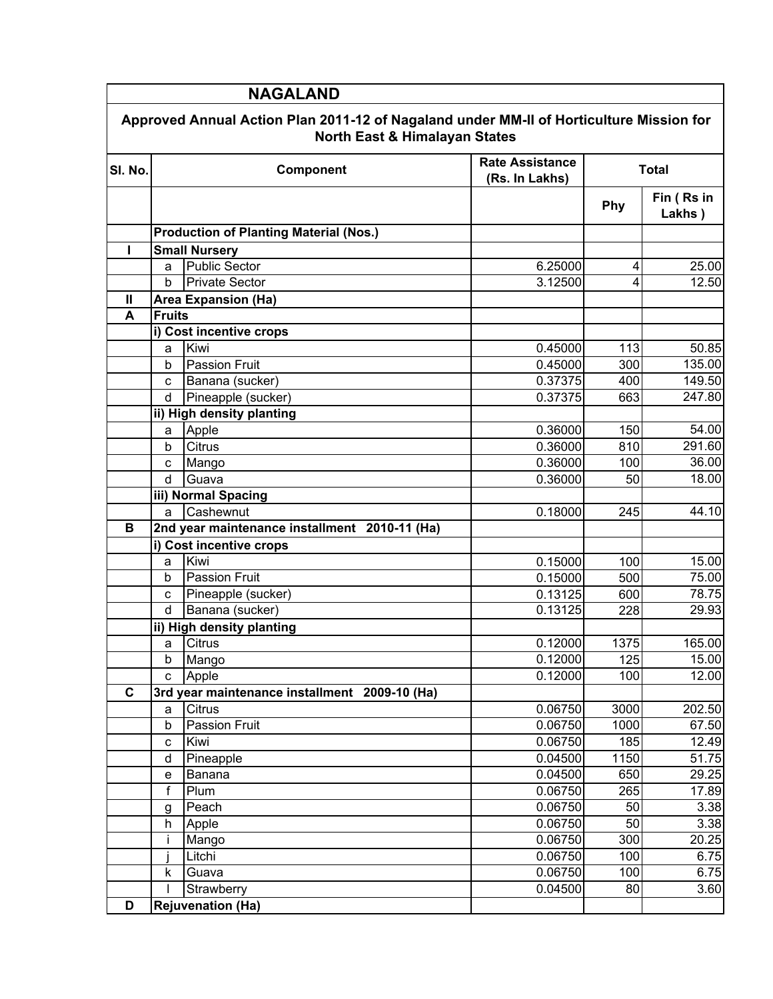| <b>NAGALAND</b>                                                                                                                     |                                               |                                               |                                          |              |                      |  |  |
|-------------------------------------------------------------------------------------------------------------------------------------|-----------------------------------------------|-----------------------------------------------|------------------------------------------|--------------|----------------------|--|--|
| Approved Annual Action Plan 2011-12 of Nagaland under MM-II of Horticulture Mission for<br><b>North East &amp; Himalayan States</b> |                                               |                                               |                                          |              |                      |  |  |
| SI. No.                                                                                                                             |                                               | Component                                     | <b>Rate Assistance</b><br>(Rs. In Lakhs) | <b>Total</b> |                      |  |  |
|                                                                                                                                     |                                               |                                               |                                          | Phy          | Fin (Rs in<br>Lakhs) |  |  |
|                                                                                                                                     | <b>Production of Planting Material (Nos.)</b> |                                               |                                          |              |                      |  |  |
| п                                                                                                                                   |                                               | <b>Small Nursery</b>                          |                                          |              |                      |  |  |
|                                                                                                                                     | a                                             | <b>Public Sector</b>                          | 6.25000                                  | 4            | 25.00                |  |  |
|                                                                                                                                     | b                                             | <b>Private Sector</b>                         | 3.12500                                  | 4            | 12.50                |  |  |
| $\mathbf{I}$                                                                                                                        |                                               | <b>Area Expansion (Ha)</b>                    |                                          |              |                      |  |  |
| A                                                                                                                                   | <b>Fruits</b>                                 |                                               |                                          |              |                      |  |  |
|                                                                                                                                     |                                               | i) Cost incentive crops                       |                                          |              |                      |  |  |
|                                                                                                                                     | a                                             | Kiwi                                          | 0.45000                                  | 113          | 50.85                |  |  |
|                                                                                                                                     | b                                             | Passion Fruit                                 | 0.45000                                  | 300          | 135.00               |  |  |
|                                                                                                                                     | C                                             | Banana (sucker)                               | 0.37375                                  | 400          | 149.50               |  |  |
|                                                                                                                                     | d                                             | Pineapple (sucker)                            | 0.37375                                  | 663          | 247.80               |  |  |
|                                                                                                                                     |                                               | ii) High density planting                     |                                          |              |                      |  |  |
|                                                                                                                                     | а                                             | Apple                                         | 0.36000                                  | 150          | 54.00                |  |  |
|                                                                                                                                     | b                                             | Citrus                                        | 0.36000                                  | 810          | 291.60               |  |  |
|                                                                                                                                     | c                                             | Mango                                         | 0.36000                                  | 100          | 36.00                |  |  |
|                                                                                                                                     | d                                             | Guava                                         | 0.36000                                  | 50           | 18.00                |  |  |
|                                                                                                                                     |                                               | iii) Normal Spacing                           |                                          |              |                      |  |  |
|                                                                                                                                     | a                                             | Cashewnut                                     | 0.18000                                  | 245          | 44.10                |  |  |
| B                                                                                                                                   |                                               | 2nd year maintenance installment 2010-11 (Ha) |                                          |              |                      |  |  |
|                                                                                                                                     |                                               | i) Cost incentive crops                       |                                          |              |                      |  |  |
|                                                                                                                                     | a                                             | Kiwi                                          | 0.15000                                  | 100          | 15.00                |  |  |
|                                                                                                                                     | b                                             | <b>Passion Fruit</b>                          | $\overline{0.15000}$                     | 500          | 75.00                |  |  |
|                                                                                                                                     | C                                             | Pineapple (sucker)                            | 0.13125                                  | 600          | 78.75                |  |  |
|                                                                                                                                     | d                                             | Banana (sucker)                               | 0.13125                                  | 228          | 29.93                |  |  |
|                                                                                                                                     |                                               | ii) High density planting                     |                                          |              |                      |  |  |
|                                                                                                                                     | a                                             | Citrus                                        | 0.12000                                  | 1375         | 165.00               |  |  |
|                                                                                                                                     | b                                             | Mango                                         | 0.12000                                  | 125          | 15.00                |  |  |
|                                                                                                                                     | C                                             | Apple                                         | 0.12000                                  | 100          | 12.00                |  |  |
| $\mathbf c$                                                                                                                         |                                               | 3rd year maintenance installment 2009-10 (Ha) |                                          |              |                      |  |  |
|                                                                                                                                     | a                                             | Citrus                                        | 0.06750                                  | 3000         | 202.50               |  |  |
|                                                                                                                                     | b                                             | Passion Fruit                                 | 0.06750                                  | 1000         | 67.50                |  |  |
|                                                                                                                                     | C                                             | Kiwi                                          | 0.06750                                  | 185          | 12.49                |  |  |
|                                                                                                                                     | d                                             | Pineapple                                     | 0.04500                                  | 1150         | 51.75                |  |  |
|                                                                                                                                     | e                                             | Banana                                        | 0.04500                                  | 650          | 29.25                |  |  |
|                                                                                                                                     | f                                             | Plum                                          | 0.06750                                  | 265          | 17.89                |  |  |
|                                                                                                                                     |                                               | Peach                                         | 0.06750                                  | 50           | 3.38                 |  |  |
|                                                                                                                                     | g<br>h                                        | Apple                                         | 0.06750                                  | 50           | 3.38                 |  |  |
|                                                                                                                                     | Ť                                             | Mango                                         | 0.06750                                  | 300          | 20.25                |  |  |
|                                                                                                                                     |                                               | Litchi                                        | 0.06750                                  | 100          | 6.75                 |  |  |
|                                                                                                                                     | k                                             | Guava                                         | 0.06750                                  | 100          | 6.75                 |  |  |
|                                                                                                                                     |                                               | Strawberry                                    | 0.04500                                  | 80           | 3.60                 |  |  |
| D                                                                                                                                   |                                               |                                               |                                          |              |                      |  |  |
|                                                                                                                                     | <b>Rejuvenation (Ha)</b>                      |                                               |                                          |              |                      |  |  |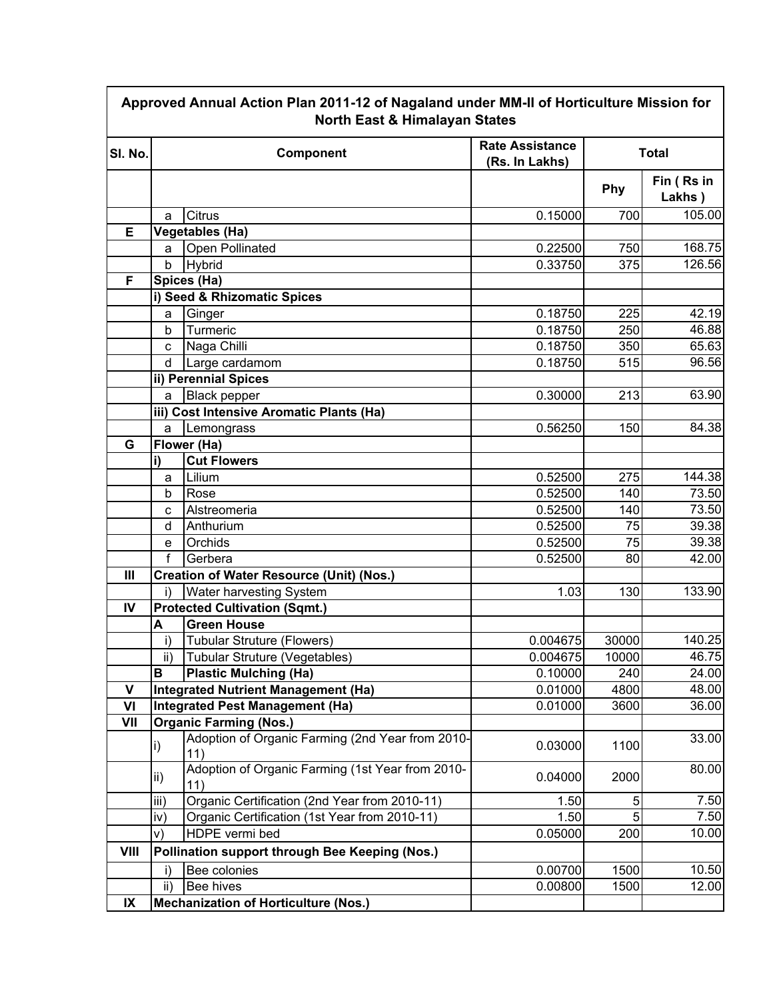| Approved Annual Action Plan 2011-12 of Nagaland under MM-II of Horticulture Mission for<br>North East & Himalayan States |                         |                                                         |                                          |              |                      |
|--------------------------------------------------------------------------------------------------------------------------|-------------------------|---------------------------------------------------------|------------------------------------------|--------------|----------------------|
| SI. No.                                                                                                                  |                         | Component                                               | <b>Rate Assistance</b><br>(Rs. In Lakhs) | <b>Total</b> |                      |
|                                                                                                                          |                         |                                                         |                                          | Phy          | Fin (Rs in<br>Lakhs) |
|                                                                                                                          | a                       | Citrus                                                  | 0.15000                                  | 700          | 105.00               |
| Е                                                                                                                        |                         | <b>Vegetables (Ha)</b>                                  |                                          |              |                      |
|                                                                                                                          | a                       | Open Pollinated                                         | 0.22500                                  | 750          | 168.75               |
|                                                                                                                          | b                       | Hybrid                                                  | 0.33750                                  | 375          | 126.56               |
| F                                                                                                                        |                         | Spices (Ha)                                             |                                          |              |                      |
|                                                                                                                          |                         | i) Seed & Rhizomatic Spices                             |                                          |              |                      |
|                                                                                                                          | a                       | Ginger                                                  | 0.18750                                  | 225          | 42.19                |
|                                                                                                                          | b                       | Turmeric                                                | 0.18750                                  | 250          | 46.88                |
|                                                                                                                          | C                       | Naga Chilli                                             | 0.18750                                  | 350          | 65.63                |
|                                                                                                                          | d                       | Large cardamom                                          | 0.18750                                  | 515          | 96.56                |
|                                                                                                                          |                         | ii) Perennial Spices                                    |                                          |              |                      |
|                                                                                                                          | a                       | <b>Black pepper</b>                                     | 0.30000                                  | 213          | 63.90                |
|                                                                                                                          |                         | iii) Cost Intensive Aromatic Plants (Ha)                |                                          |              |                      |
|                                                                                                                          | a                       | Lemongrass                                              | 0.56250                                  | 150          | 84.38                |
| G                                                                                                                        |                         | Flower (Ha)                                             |                                          |              |                      |
|                                                                                                                          | i)                      | <b>Cut Flowers</b>                                      |                                          |              |                      |
|                                                                                                                          | a                       | Lilium                                                  | 0.52500                                  | 275          | 144.38               |
|                                                                                                                          | b                       | Rose                                                    | 0.52500                                  | 140          | 73.50                |
|                                                                                                                          | C                       | Alstreomeria                                            | 0.52500                                  | 140          | 73.50                |
|                                                                                                                          | d                       | Anthurium                                               | 0.52500                                  | 75           | 39.38                |
|                                                                                                                          | e                       | Orchids                                                 | 0.52500                                  | 75           | 39.38                |
|                                                                                                                          | f                       | Gerbera                                                 | 0.52500                                  | 80           | 42.00                |
| $\mathbf{III}$                                                                                                           |                         | <b>Creation of Water Resource (Unit) (Nos.)</b>         |                                          |              |                      |
|                                                                                                                          | Water harvesting System |                                                         | 1.03                                     | 130          | 133.90               |
| IV                                                                                                                       |                         | <b>Protected Cultivation (Sqmt.)</b>                    |                                          |              |                      |
|                                                                                                                          | A                       | <b>Green House</b>                                      |                                          |              |                      |
|                                                                                                                          | i)                      | Tubular Struture (Flowers)                              | 0.004675                                 | 30000        | 140.25               |
|                                                                                                                          | $\mathsf{ii}$           | Tubular Struture (Vegetables)                           | 0.004675                                 | 10000        | 46.75                |
|                                                                                                                          | B                       | <b>Plastic Mulching (Ha)</b>                            | 0.10000                                  | 240          | 24.00                |
| $\mathsf{V}$                                                                                                             |                         | Integrated Nutrient Management (Ha)                     | 0.01000                                  | 4800         | 48.00                |
| VI                                                                                                                       |                         | Integrated Pest Management (Ha)                         | 0.01000                                  | 3600         | 36.00                |
| VII                                                                                                                      |                         | <b>Organic Farming (Nos.)</b>                           |                                          |              |                      |
|                                                                                                                          | $\vert i)$              | Adoption of Organic Farming (2nd Year from 2010-<br>11) | 0.03000                                  | 1100         | 33.00                |
|                                                                                                                          | lii)                    | Adoption of Organic Farming (1st Year from 2010-<br>11) | 0.04000                                  | 2000         | 80.00                |
|                                                                                                                          | iii)                    | Organic Certification (2nd Year from 2010-11)           | 1.50                                     | 5            | 7.50                 |
|                                                                                                                          | iv)                     | Organic Certification (1st Year from 2010-11)           | 1.50                                     |              | 7.50                 |
|                                                                                                                          | V)                      | HDPE vermi bed                                          | 0.05000                                  | 200          | 10.00                |
| <b>VIII</b>                                                                                                              |                         | Pollination support through Bee Keeping (Nos.)          |                                          |              |                      |
|                                                                                                                          | i)                      | Bee colonies                                            | 0.00700                                  | 1500         | 10.50                |
|                                                                                                                          | ii)                     | Bee hives                                               | 0.00800                                  | 1500         | 12.00                |
| $\mathsf{I} \mathsf{X}$                                                                                                  |                         | <b>Mechanization of Horticulture (Nos.)</b>             |                                          |              |                      |